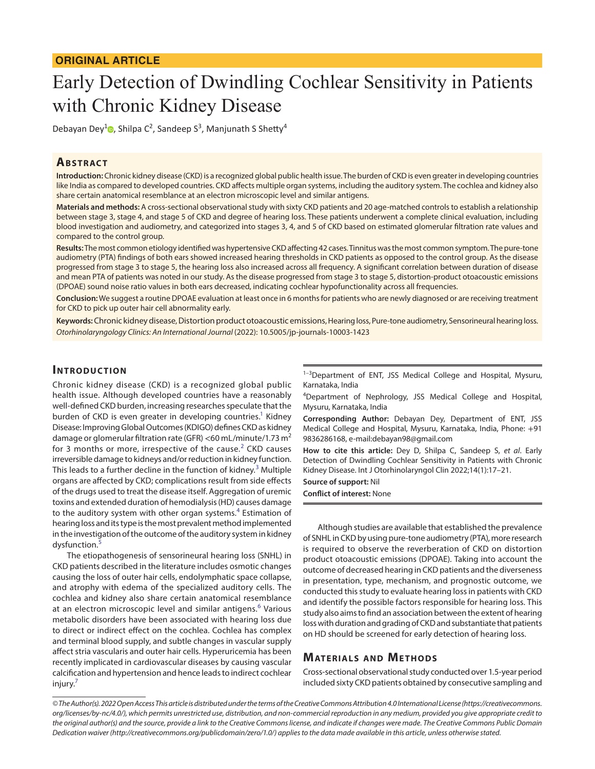# Early Detection of Dwindling Cochlear Sensitivity in Patients with Chronic Kidney Disease

Debayan Dey<sup>1</sup><sup>®</sup>[,](https://orcid.org/0000-0001-6698-3837) Shilpa C<sup>2</sup>, Sandeep S<sup>3</sup>, Manjunath S Shetty<sup>4</sup>

## **ABSTRACT**

**Introduction:** Chronic kidney disease (CKD) is a recognized global public health issue. The burden of CKD is even greater in developing countries like India as compared to developed countries. CKD affects multiple organ systems, including the auditory system. The cochlea and kidney also share certain anatomical resemblance at an electron microscopic level and similar antigens.

**Materials and methods:** A cross-sectional observational study with sixty CKD patients and 20 age-matched controls to establish a relationship between stage 3, stage 4, and stage 5 of CKD and degree of hearing loss. These patients underwent a complete clinical evaluation, including blood investigation and audiometry, and categorized into stages 3, 4, and 5 of CKD based on estimated glomerular filtration rate values and compared to the control group.

**Results:** The most common etiology identified was hypertensive CKD affecting 42 cases. Tinnitus was the most common symptom. The pure-tone audiometry (PTA) findings of both ears showed increased hearing thresholds in CKD patients as opposed to the control group. As the disease progressed from stage 3 to stage 5, the hearing loss also increased across all frequency. A significant correlation between duration of disease and mean PTA of patients was noted in our study. As the disease progressed from stage 3 to stage 5, distortion-product otoacoustic emissions (DPOAE) sound noise ratio values in both ears decreased, indicating cochlear hypofunctionality across all frequencies.

**Conclusion:** We suggest a routine DPOAE evaluation at least once in 6 months for patients who are newly diagnosed or are receiving treatment for CKD to pick up outer hair cell abnormality early.

**Keywords:**Chronic kidney disease, Distortion product otoacoustic emissions, Hearing loss, Pure-tone audiometry, Sensorineural hearing loss. *Otorhinolaryngology Clinics: An International Journal* (2022): 10.5005/jp-journals-10003-1423

#### **INTRODUCTION**

Chronic kidney disease (CKD) is a recognized global public health issue. Although developed countries have a reasonably well-defined CKD burden, increasing researches speculate that the burden of CKD is even greater in developing countries.<sup>1</sup> Kidney Disease: Improving Global Outcomes (KDIGO) defines CKD as kidney damage or glomerular filtration rate (GFR) <60 mL/minute/1.73 m<sup>2</sup> for 3 months or more, irrespective of the cause.<sup>[2](#page-4-1)</sup> CKD causes irreversible damage to kidneys and/or reduction in kidney function. This leads to a further decline in the function of kidney.<sup>[3](#page-4-2)</sup> Multiple organs are affected by CKD; complications result from side effects of the drugs used to treat the disease itself. Aggregation of uremic toxins and extended duration of hemodialysis (HD) causes damage to the auditory system with other organ systems.<sup>[4](#page-4-3)</sup> Estimation of hearing loss and its type is the most prevalent method implemented in the investigation of the outcome of the auditory system in kidney dysfunction.<sup>[5](#page-4-4)</sup>

The etiopathogenesis of sensorineural hearing loss (SNHL) in CKD patients described in the literature includes osmotic changes causing the loss of outer hair cells, endolymphatic space collapse, and atrophy with edema of the specialized auditory cells. The cochlea and kidney also share certain anatomical resemblance at an electron microscopic level and similar antigens.<sup>[6](#page-4-5)</sup> Various metabolic disorders have been associated with hearing loss due to direct or indirect effect on the cochlea. Cochlea has complex and terminal blood supply, and subtle changes in vascular supply affect stria vascularis and outer hair cells. Hyperuricemia has been recently implicated in cardiovascular diseases by causing vascular calcification and hypertension and hence leads to indirect cochlear injury.<sup>7</sup>

<sup>1-3</sup>Department of ENT, JSS Medical College and Hospital, Mysuru, Karnataka, India

<sup>4</sup>Department of Nephrology, JSS Medical College and Hospital, Mysuru, Karnataka, India

**Corresponding Author:** Debayan Dey, Department of ENT, JSS Medical College and Hospital, Mysuru, Karnataka, India, Phone: +91 9836286168, e-mail:debayan98@gmail.com

**How to cite this article:** Dey D, Shilpa C, Sandeep S, *et al*. Early Detection of Dwindling Cochlear Sensitivity in Patients with Chronic Kidney Disease. Int J Otorhinolaryngol Clin 2022;14(1):17–21.

**Source of support:** Nil

**Conflict of interest:** None

Although studies are available that established the prevalence of SNHL in CKD by using pure-tone audiometry (PTA), more research is required to observe the reverberation of CKD on distortion product otoacoustic emissions (DPOAE). Taking into account the outcome of decreased hearing in CKD patients and the diverseness in presentation, type, mechanism, and prognostic outcome, we conducted this study to evaluate hearing loss in patients with CKD and identify the possible factors responsible for hearing loss. This study also aims to find an association between the extent of hearing loss with duration and grading of CKD and substantiate that patients on HD should be screened for early detection of hearing loss.

## **MATERIALS AND METHODS**

Cross-sectional observational study conducted over 1.5-year period included sixty CKD patients obtained by consecutive sampling and

*<sup>©</sup> The Author(s). 2022 Open Access This article is distributed under the terms of the Creative Commons Attribution 4.0 International License ([https://creativecommons.](https://creativecommons. org/licenses/by-nc/4.0/) [org/licenses/by-nc/4.0/](https://creativecommons. org/licenses/by-nc/4.0/)), which permits unrestricted use, distribution, and non-commercial reproduction in any medium, provided you give appropriate credit to the original author(s) and the source, provide a link to the Creative Commons license, and indicate if changes were made. The Creative Commons Public Domain Dedication waiver ([http://creativecommons.org/publicdomain/zero/1.0/\)](http://creativecommons.org/publicdomain/zero/1.0/) applies to the data made available in this article, unless otherwise stated.*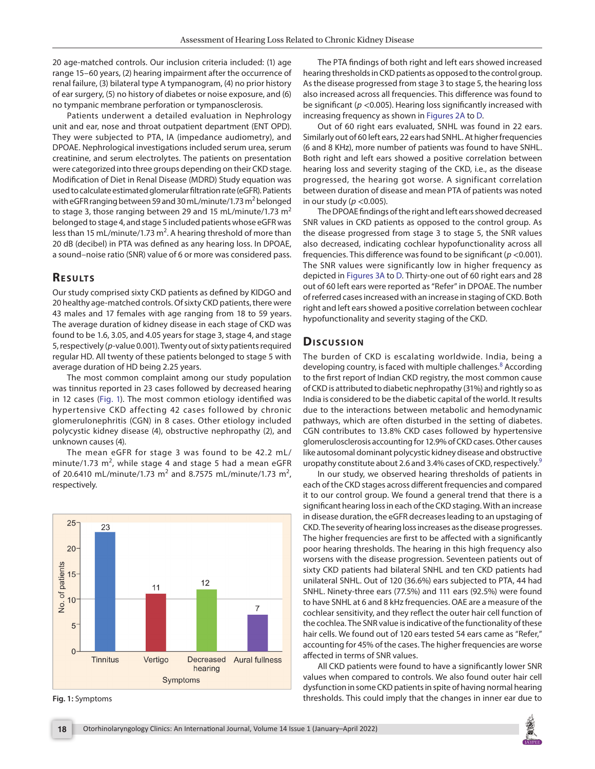20 age-matched controls. Our inclusion criteria included: (1) age range 15–60 years, (2) hearing impairment after the occurrence of renal failure, (3) bilateral type A tympanogram, (4) no prior history of ear surgery, (5) no history of diabetes or noise exposure, and (6) no tympanic membrane perforation or tympanosclerosis.

Patients underwent a detailed evaluation in Nephrology unit and ear, nose and throat outpatient department (ENT OPD). They were subjected to PTA, IA (impedance audiometry), and DPOAE. Nephrological investigations included serum urea, serum creatinine, and serum electrolytes. The patients on presentation were categorized into three groups depending on their CKD stage. Modification of Diet in Renal Disease (MDRD) Study equation was used to calculate estimated glomerular filtration rate (eGFR). Patients with eGFR ranging between 59 and 30 mL/minute/1.73 m<sup>2</sup> belonged to stage 3, those ranging between 29 and 15 mL/minute/1.73  $m<sup>2</sup>$ belonged to stage 4, and stage 5 included patients whose eGFR was less than 15 mL/minute/1.73 m<sup>2</sup>. A hearing threshold of more than 20 dB (decibel) in PTA was defined as any hearing loss. In DPOAE, a sound–noise ratio (SNR) value of 6 or more was considered pass.

## **RESULTS**

Our study comprised sixty CKD patients as defined by KIDGO and 20 healthy age-matched controls. Of sixty CKD patients, there were 43 males and 17 females with age ranging from 18 to 59 years. The average duration of kidney disease in each stage of CKD was found to be 1.6, 3.05, and 4.05 years for stage 3, stage 4, and stage 5, respectively (*p*-value 0.001). Twenty out of sixty patients required regular HD. All twenty of these patients belonged to stage 5 with average duration of HD being 2.25 years.

The most common complaint among our study population was tinnitus reported in 23 cases followed by decreased hearing in 12 cases ([Fig. 1\)](#page-1-0). The most common etiology identified was hypertensive CKD affecting 42 cases followed by chronic glomerulonephritis (CGN) in 8 cases. Other etiology included polycystic kidney disease (4), obstructive nephropathy (2), and unknown causes (4).

The mean eGFR for stage 3 was found to be 42.2 mL/ minute/1.73  $m^2$ , while stage 4 and stage 5 had a mean eGFR of 20.6410 mL/minute/1.73 m<sup>2</sup> and 8.7575 mL/minute/1.73 m<sup>2</sup>, respectively.



<span id="page-1-0"></span>

The PTA findings of both right and left ears showed increased hearing thresholds in CKD patients as opposed to the control group. As the disease progressed from stage 3 to stage 5, the hearing loss also increased across all frequencies. This difference was found to be significant (*p* <0.005). Hearing loss significantly increased with increasing frequency as shown in [Figures 2A](#page-2-0) to [D](#page-2-0).

Out of 60 right ears evaluated, SNHL was found in 22 ears. Similarly out of 60 left ears, 22 ears had SNHL. At higher frequencies (6 and 8 KHz), more number of patients was found to have SNHL. Both right and left ears showed a positive correlation between hearing loss and severity staging of the CKD, i.e., as the disease progressed, the hearing got worse. A significant correlation between duration of disease and mean PTA of patients was noted in our study (*p* <0.005).

The DPOAE findings of the right and left ears showed decreased SNR values in CKD patients as opposed to the control group. As the disease progressed from stage 3 to stage 5, the SNR values also decreased, indicating cochlear hypofunctionality across all frequencies. This difference was found to be significant (*p* <0.001). The SNR values were significantly low in higher frequency as depicted in [Figures 3A](#page-3-0) to [D.](#page-3-0) Thirty-one out of 60 right ears and 28 out of 60 left ears were reported as "Refer" in DPOAE. The number of referred cases increased with an increase in staging of CKD. Both right and left ears showed a positive correlation between cochlear hypofunctionality and severity staging of the CKD.

#### **Dis c u s sio n**

The burden of CKD is escalating worldwide. India, being a developing country, is faced with multiple challenges.<sup>[8](#page-4-7)</sup> According to the first report of Indian CKD registry, the most common cause of CKD is attributed to diabetic nephropathy (31%) and rightly so as India is considered to be the diabetic capital of the world. It results due to the interactions between metabolic and hemodynamic pathways, which are often disturbed in the setting of diabetes. CGN contributes to 13.8% CKD cases followed by hypertensive glomerulosclerosis accounting for 12.9% of CKD cases. Other causes like autosomal dominant polycystic kidney disease and obstructive uropathy constitute about 2.6 and 3.4% cases of CKD, respectively.<sup>[9](#page-4-8)</sup>

In our study, we observed hearing thresholds of patients in each of the CKD stages across different frequencies and compared it to our control group. We found a general trend that there is a significant hearing loss in each of the CKD staging. With an increase in disease duration, the eGFR decreases leading to an upstaging of CKD. The severity of hearing loss increases as the disease progresses. The higher frequencies are first to be affected with a significantly poor hearing thresholds. The hearing in this high frequency also worsens with the disease progression. Seventeen patients out of sixty CKD patients had bilateral SNHL and ten CKD patients had unilateral SNHL. Out of 120 (36.6%) ears subjected to PTA, 44 had SNHL. Ninety-three ears (77.5%) and 111 ears (92.5%) were found to have SNHL at 6 and 8 kHz frequencies. OAE are a measure of the cochlear sensitivity, and they reflect the outer hair cell function of the cochlea. The SNR value is indicative of the functionality of these hair cells. We found out of 120 ears tested 54 ears came as "Refer," accounting for 45% of the cases. The higher frequencies are worse affected in terms of SNR values.

All CKD patients were found to have a significantly lower SNR values when compared to controls. We also found outer hair cell dysfunction in some CKD patients in spite of having normal hearing **Fig. 1:** Symptoms thresholds. This could imply that the changes in inner ear due to

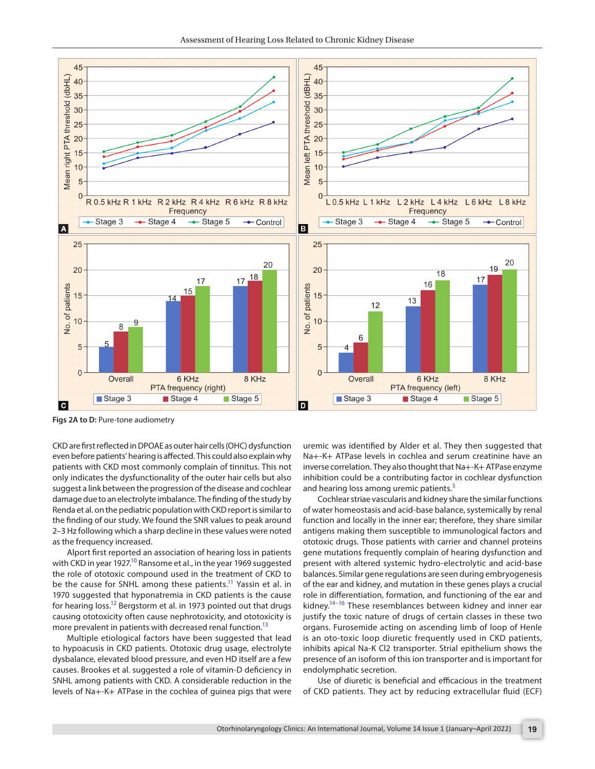

<span id="page-2-0"></span>**Figs 2A to D:** Pure-tone audiometry

CKD are first reflected in DPOAE as outer hair cells (OHC) dysfunction even before patients' hearing is affected. This could also explain why patients with CKD most commonly complain of tinnitus. This not only indicates the dysfunctionality of the outer hair cells but also suggest a link between the progression of the disease and cochlear damage due to an electrolyte imbalance. The finding of the study by Renda et al. on the pediatric population with CKD report is similar to the finding of our study. We found the SNR values to peak around 2–3 Hz following which a sharp decline in these values were noted as the frequency increased.

Alport first reported an association of hearing loss in patients with CKD in year 1927.<sup>10</sup> Ransome et al., in the year 1969 suggested the role of ototoxic compound used in the treatment of CKD to be the cause for SNHL among these patients.<sup>11</sup> Yassin et al. in 1970 suggested that hyponatremia in CKD patients is the cause for hearing loss.<sup>12</sup> Bergstorm et al. in 1973 pointed out that drugs causing ototoxicity often cause nephrotoxicity, and ototoxicity is more prevalent in patients with decreased renal function.<sup>13</sup>

Multiple etiological factors have been suggested that lead to hypoacusis in CKD patients. Ototoxic drug usage, electrolyte dysbalance, elevated blood pressure, and even HD itself are a few causes. Brookes et al. suggested a role of vitamin-D deficiency in SNHL among patients with CKD. A considerable reduction in the levels of Na+-K+ ATPase in the cochlea of guinea pigs that were

uremic was identified by Alder et al. They then suggested that Na+-K+ ATPase levels in cochlea and serum creatinine have an inverse correlation. They also thought that Na+-K+ ATPase enzyme inhibition could be a contributing factor in cochlear dysfunction and hearing loss among uremic patients.<sup>[5](#page-4-4)</sup>

Cochlear striae vascularis and kidney share the similar functions of water homeostasis and acid-base balance, systemically by renal function and locally in the inner ear; therefore, they share similar antigens making them susceptible to immunological factors and ototoxic drugs. Those patients with carrier and channel proteins gene mutations frequently complain of hearing dysfunction and present with altered systemic hydro-electrolytic and acid-base balances. Similar gene regulations are seen during embryogenesis of the ear and kidney, and mutation in these genes plays a crucial role in differentiation, formation, and functioning of the ear and kidney.<sup>14–16</sup> These resemblances between kidney and inner ear justify the toxic nature of drugs of certain classes in these two organs. Furosemide acting on ascending limb of loop of Henle is an oto-toxic loop diuretic frequently used in CKD patients, inhibits apical Na-K Cl2 transporter. Strial epithelium shows the presence of an isoform of this ion transporter and is important for endolymphatic secretion.

Use of diuretic is beneficial and efficacious in the treatment of CKD patients. They act by reducing extracellular fluid (ECF)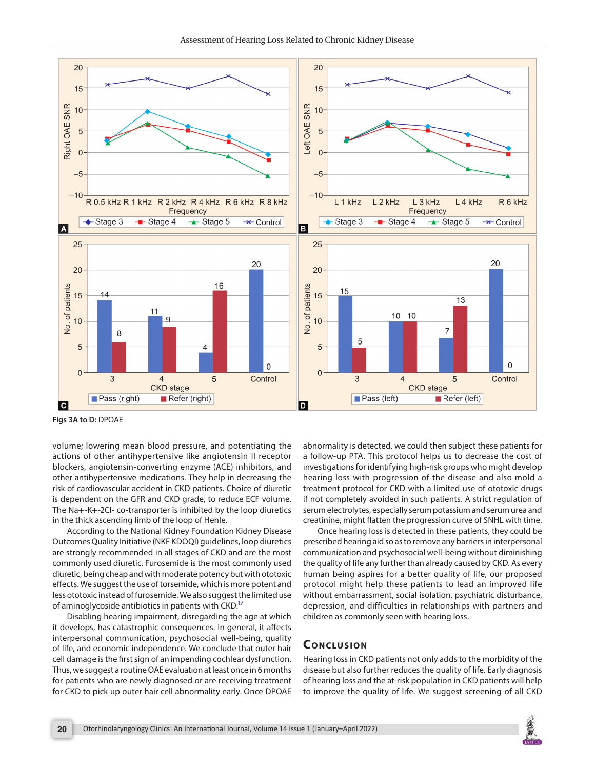

<span id="page-3-0"></span>**Figs 3A to D:** DPOAE

volume; lowering mean blood pressure, and potentiating the actions of other antihypertensive like angiotensin II receptor blockers, angiotensin-converting enzyme (ACE) inhibitors, and other antihypertensive medications. They help in decreasing the risk of cardiovascular accident in CKD patients. Choice of diuretic is dependent on the GFR and CKD grade, to reduce ECF volume. The Na+-K+-2Cl- co-transporter is inhibited by the loop diuretics in the thick ascending limb of the loop of Henle.

According to the National Kidney Foundation Kidney Disease Outcomes Quality Initiative (NKF KDOQI) guidelines, loop diuretics are strongly recommended in all stages of CKD and are the most commonly used diuretic. Furosemide is the most commonly used diuretic, being cheap and with moderate potency but with ototoxic effects. We suggest the use of torsemide, which is more potent and less ototoxic instead of furosemide. We also suggest the limited use of aminoglycoside antibiotics in patients with CKD.<sup>17</sup>

Disabling hearing impairment, disregarding the age at which it develops, has catastrophic consequences. In general, it affects interpersonal communication, psychosocial well-being, quality of life, and economic independence. We conclude that outer hair cell damage is the first sign of an impending cochlear dysfunction. Thus, we suggest a routine OAE evaluation at least once in 6 months for patients who are newly diagnosed or are receiving treatment for CKD to pick up outer hair cell abnormality early. Once DPOAE

abnormality is detected, we could then subject these patients for a follow-up PTA. This protocol helps us to decrease the cost of investigations for identifying high-risk groups who might develop hearing loss with progression of the disease and also mold a treatment protocol for CKD with a limited use of ototoxic drugs if not completely avoided in such patients. A strict regulation of serum electrolytes, especially serum potassium and serum urea and creatinine, might flatten the progression curve of SNHL with time.

Once hearing loss is detected in these patients, they could be prescribed hearing aid so as to remove any barriers in interpersonal communication and psychosocial well-being without diminishing the quality of life any further than already caused by CKD. As every human being aspires for a better quality of life, our proposed protocol might help these patients to lead an improved life without embarrassment, social isolation, psychiatric disturbance, depression, and difficulties in relationships with partners and children as commonly seen with hearing loss.

#### **CONCLUSION**

Hearing loss in CKD patients not only adds to the morbidity of the disease but also further reduces the quality of life. Early diagnosis of hearing loss and the at-risk population in CKD patients will help to improve the quality of life. We suggest screening of all CKD